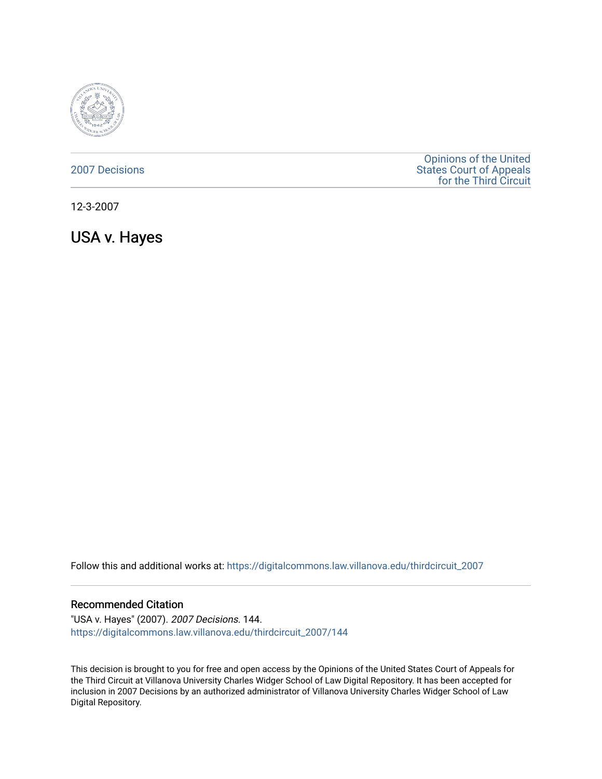

# [2007 Decisions](https://digitalcommons.law.villanova.edu/thirdcircuit_2007)

[Opinions of the United](https://digitalcommons.law.villanova.edu/thirdcircuit)  [States Court of Appeals](https://digitalcommons.law.villanova.edu/thirdcircuit)  [for the Third Circuit](https://digitalcommons.law.villanova.edu/thirdcircuit) 

12-3-2007

USA v. Hayes

Follow this and additional works at: [https://digitalcommons.law.villanova.edu/thirdcircuit\\_2007](https://digitalcommons.law.villanova.edu/thirdcircuit_2007?utm_source=digitalcommons.law.villanova.edu%2Fthirdcircuit_2007%2F144&utm_medium=PDF&utm_campaign=PDFCoverPages) 

## Recommended Citation

"USA v. Hayes" (2007). 2007 Decisions. 144. [https://digitalcommons.law.villanova.edu/thirdcircuit\\_2007/144](https://digitalcommons.law.villanova.edu/thirdcircuit_2007/144?utm_source=digitalcommons.law.villanova.edu%2Fthirdcircuit_2007%2F144&utm_medium=PDF&utm_campaign=PDFCoverPages)

This decision is brought to you for free and open access by the Opinions of the United States Court of Appeals for the Third Circuit at Villanova University Charles Widger School of Law Digital Repository. It has been accepted for inclusion in 2007 Decisions by an authorized administrator of Villanova University Charles Widger School of Law Digital Repository.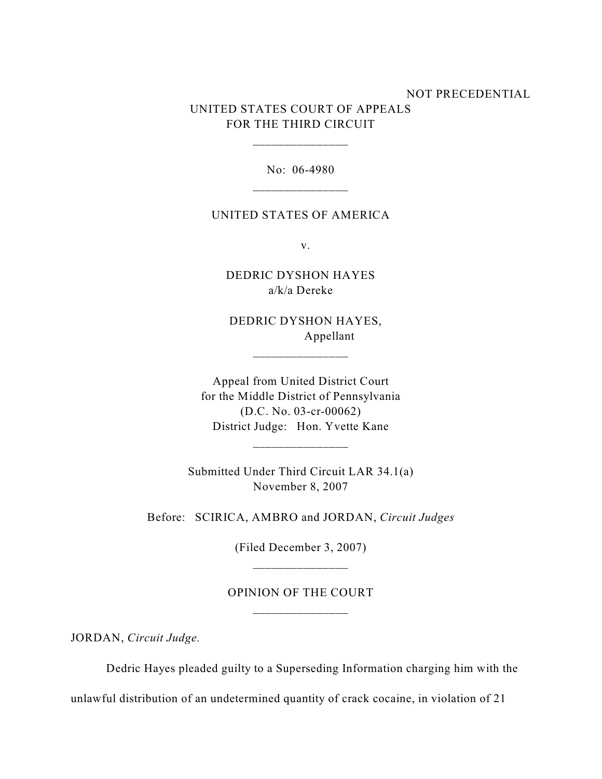# NOT PRECEDENTIAL UNITED STATES COURT OF APPEALS FOR THE THIRD CIRCUIT

No: 06-4980

\_\_\_\_\_\_\_\_\_\_\_\_\_\_\_

### UNITED STATES OF AMERICA

v.

DEDRIC DYSHON HAYES a/k/a Dereke

 DEDRIC DYSHON HAYES, Appellant

\_\_\_\_\_\_\_\_\_\_\_\_\_\_\_

Appeal from United District Court for the Middle District of Pennsylvania (D.C. No. 03-cr-00062) District Judge: Hon. Yvette Kane

Submitted Under Third Circuit LAR 34.1(a) November 8, 2007

\_\_\_\_\_\_\_\_\_\_\_\_\_\_\_

Before: SCIRICA, AMBRO and JORDAN, *Circuit Judges*

(Filed December 3, 2007)

OPINION OF THE COURT \_\_\_\_\_\_\_\_\_\_\_\_\_\_\_

JORDAN, *Circuit Judge.*

Dedric Hayes pleaded guilty to a Superseding Information charging him with the

unlawful distribution of an undetermined quantity of crack cocaine, in violation of 21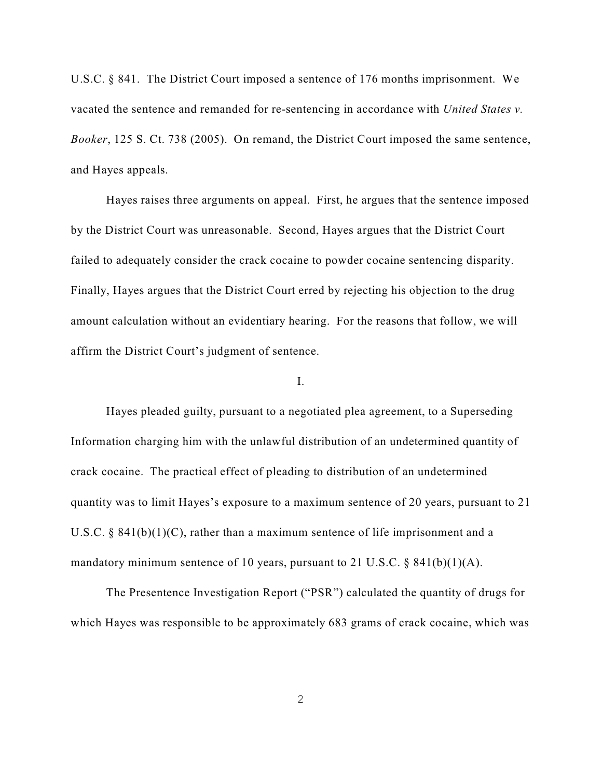U.S.C. § 841. The District Court imposed a sentence of 176 months imprisonment. We vacated the sentence and remanded for re-sentencing in accordance with *United States v. Booker*, 125 S. Ct. 738 (2005). On remand, the District Court imposed the same sentence, and Hayes appeals.

Hayes raises three arguments on appeal. First, he argues that the sentence imposed by the District Court was unreasonable. Second, Hayes argues that the District Court failed to adequately consider the crack cocaine to powder cocaine sentencing disparity. Finally, Hayes argues that the District Court erred by rejecting his objection to the drug amount calculation without an evidentiary hearing. For the reasons that follow, we will affirm the District Court's judgment of sentence.

## I.

Hayes pleaded guilty, pursuant to a negotiated plea agreement, to a Superseding Information charging him with the unlawful distribution of an undetermined quantity of crack cocaine. The practical effect of pleading to distribution of an undetermined quantity was to limit Hayes's exposure to a maximum sentence of 20 years, pursuant to 21 U.S.C. § 841(b)(1)(C), rather than a maximum sentence of life imprisonment and a mandatory minimum sentence of 10 years, pursuant to 21 U.S.C.  $\S$  841(b)(1)(A).

The Presentence Investigation Report ("PSR") calculated the quantity of drugs for which Hayes was responsible to be approximately 683 grams of crack cocaine, which was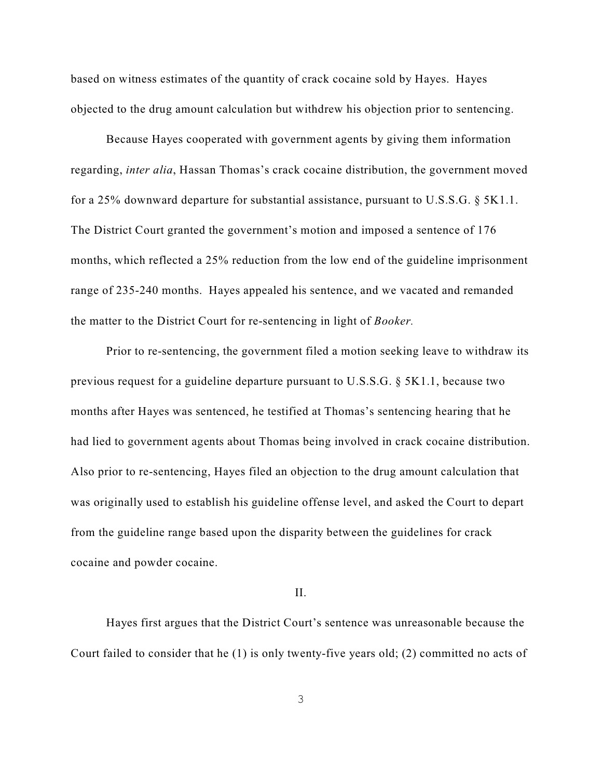based on witness estimates of the quantity of crack cocaine sold by Hayes. Hayes objected to the drug amount calculation but withdrew his objection prior to sentencing.

Because Hayes cooperated with government agents by giving them information regarding, *inter alia*, Hassan Thomas's crack cocaine distribution, the government moved for a 25% downward departure for substantial assistance, pursuant to U.S.S.G. § 5K1.1. The District Court granted the government's motion and imposed a sentence of 176 months, which reflected a 25% reduction from the low end of the guideline imprisonment range of 235-240 months. Hayes appealed his sentence, and we vacated and remanded the matter to the District Court for re-sentencing in light of *Booker.*

Prior to re-sentencing, the government filed a motion seeking leave to withdraw its previous request for a guideline departure pursuant to U.S.S.G. § 5K1.1, because two months after Hayes was sentenced, he testified at Thomas's sentencing hearing that he had lied to government agents about Thomas being involved in crack cocaine distribution. Also prior to re-sentencing, Hayes filed an objection to the drug amount calculation that was originally used to establish his guideline offense level, and asked the Court to depart from the guideline range based upon the disparity between the guidelines for crack cocaine and powder cocaine.

### II.

Hayes first argues that the District Court's sentence was unreasonable because the Court failed to consider that he (1) is only twenty-five years old; (2) committed no acts of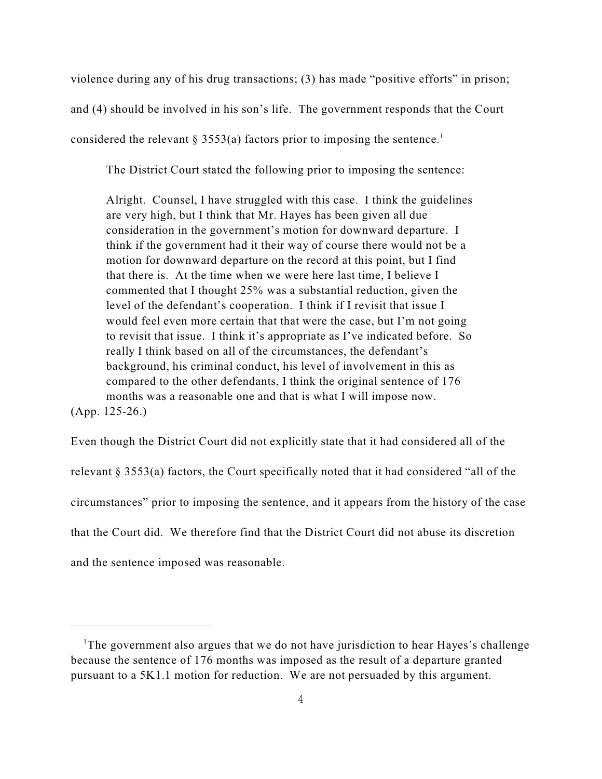violence during any of his drug transactions; (3) has made "positive efforts" in prison; and (4) should be involved in his son's life. The government responds that the Court considered the relevant § 3553(a) factors prior to imposing the sentence.<sup>1</sup>

The District Court stated the following prior to imposing the sentence:

Alright. Counsel, I have struggled with this case. I think the guidelines are very high, but I think that Mr. Hayes has been given all due consideration in the government's motion for downward departure. I think if the government had it their way of course there would not be a motion for downward departure on the record at this point, but I find that there is. At the time when we were here last time, I believe I commented that I thought 25% was a substantial reduction, given the level of the defendant's cooperation. I think if I revisit that issue I would feel even more certain that that were the case, but I'm not going to revisit that issue. I think it's appropriate as I've indicated before. So really I think based on all of the circumstances, the defendant's background, his criminal conduct, his level of involvement in this as compared to the other defendants, I think the original sentence of 176 months was a reasonable one and that is what I will impose now. (App. 125-26.)

Even though the District Court did not explicitly state that it had considered all of the relevant § 3553(a) factors, the Court specifically noted that it had considered "all of the circumstances" prior to imposing the sentence, and it appears from the history of the case that the Court did. We therefore find that the District Court did not abuse its discretion and the sentence imposed was reasonable.

<sup>&</sup>lt;sup>1</sup>The government also argues that we do not have jurisdiction to hear Hayes's challenge because the sentence of 176 months was imposed as the result of a departure granted pursuant to a 5K1.1 motion for reduction. We are not persuaded by this argument.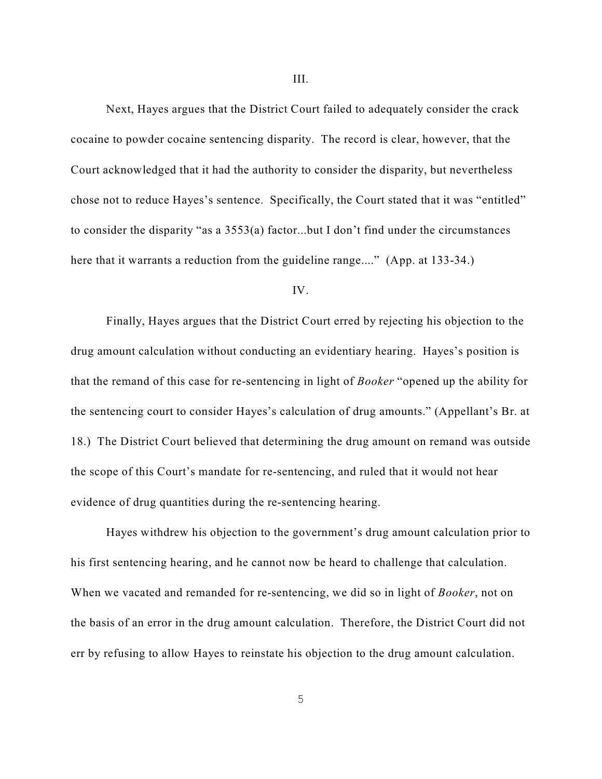Next, Hayes argues that the District Court failed to adequately consider the crack cocaine to powder cocaine sentencing disparity. The record is clear, however, that the Court acknowledged that it had the authority to consider the disparity, but nevertheless chose not to reduce Hayes's sentence. Specifically, the Court stated that it was "entitled" to consider the disparity "as a 3553(a) factor...but I don't find under the circumstances here that it warrants a reduction from the guideline range...." (App. at 133-34.)

### IV.

Finally, Hayes argues that the District Court erred by rejecting his objection to the drug amount calculation without conducting an evidentiary hearing. Hayes's position is that the remand of this case for re-sentencing in light of *Booker* "opened up the ability for the sentencing court to consider Hayes's calculation of drug amounts." (Appellant's Br. at 18.) The District Court believed that determining the drug amount on remand was outside the scope of this Court's mandate for re-sentencing, and ruled that it would not hear evidence of drug quantities during the re-sentencing hearing.

Hayes withdrew his objection to the government's drug amount calculation prior to his first sentencing hearing, and he cannot now be heard to challenge that calculation. When we vacated and remanded for re-sentencing, we did so in light of *Booker*, not on the basis of an error in the drug amount calculation. Therefore, the District Court did not err by refusing to allow Hayes to reinstate his objection to the drug amount calculation.